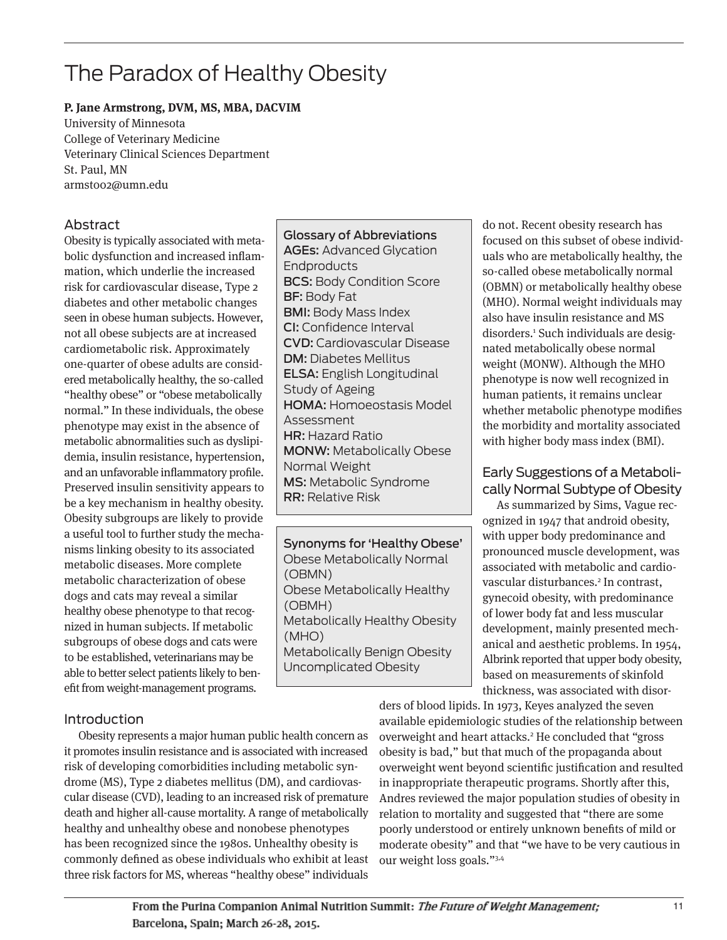# The Paradox of Healthy Obesity

#### **P. Jane Armstrong, DVM, MS, MBA, DACVIM**

University of Minnesota College of Veterinary Medicine Veterinary Clinical Sciences Department St. Paul, MN armst002@umn.edu

# Abstract

Obesity is typically associated with metabolic dysfunction and increased inflammation, which underlie the increased risk for cardiovascular disease, Type 2 diabetes and other metabolic changes seen in obese human subjects. However, not all obese subjects are at increased cardiometabolic risk. Approximately one-quarter of obese adults are considered metabolically healthy, the so-called "healthy obese" or "obese metabolically normal." In these individuals, the obese phenotype may exist in the absence of metabolic abnormalities such as dyslipidemia, insulin resistance, hypertension, and an unfavorable inflammatory profile. Preserved insulin sensitivity appears to be a key mechanism in healthy obesity. Obesity subgroups are likely to provide a useful tool to further study the mechanisms linking obesity to its associated metabolic diseases. More complete metabolic characterization of obese dogs and cats may reveal a similar healthy obese phenotype to that recognized in human subjects. If metabolic subgroups of obese dogs and cats were to be established, veterinarians may be able to better select patients likely to benefit from weight-management programs.

# Introduction

Obesity represents a major human public health concern as it promotes insulin resistance and is associated with increased risk of developing comorbidities including metabolic syndrome (MS), Type 2 diabetes mellitus (DM), and cardiovascular disease (CVD), leading to an increased risk of premature death and higher all-cause mortality. A range of metabolically healthy and unhealthy obese and nonobese phenotypes has been recognized since the 1980s. Unhealthy obesity is commonly defined as obese individuals who exhibit at least three risk factors for MS, whereas "healthy obese" individuals

Glossary of Abbreviations AGEs: Advanced Glycation **Endproducts** BCS: Body Condition Score BF: Body Fat BMI: Body Mass Index CI: Confidence Interval CVD: Cardiovascular Disease DM: Diabetes Mellitus ELSA: English Longitudinal Study of Ageing HOMA: Homoeostasis Model Assessment HR: Hazard Ratio MONW: Metabolically Obese Normal Weight MS: Metabolic Syndrome RR: Relative Risk

Synonyms for 'Healthy Obese' Obese Metabolically Normal (OBMN) Obese Metabolically Healthy (OBMH) Metabolically Healthy Obesity (MHO) Metabolically Benign Obesity Uncomplicated Obesity

do not. Recent obesity research has focused on this subset of obese individuals who are metabolically healthy, the so-called obese metabolically normal (OBMN) or metabolically healthy obese (MHO). Normal weight individuals may also have insulin resistance and MS disorders.1 Such individuals are designated metabolically obese normal weight (MONW). Although the MHO phenotype is now well recognized in human patients, it remains unclear whether metabolic phenotype modifies the morbidity and mortality associated with higher body mass index (BMI).

# Early Suggestions of a Metabolically Normal Subtype of Obesity

As summarized by Sims, Vague recognized in 1947 that android obesity, with upper body predominance and pronounced muscle development, was associated with metabolic and cardiovascular disturbances.<sup>2</sup> In contrast, gynecoid obesity, with predominance of lower body fat and less muscular development, mainly presented mechanical and aesthetic problems. In 1954, Albrink reported that upper body obesity, based on measurements of skinfold thickness, was associated with disor-

ders of blood lipids. In 1973, Keyes analyzed the seven available epidemiologic studies of the relationship between overweight and heart attacks.<sup>2</sup> He concluded that "gross obesity is bad," but that much of the propaganda about overweight went beyond scientific justification and resulted in inappropriate therapeutic programs. Shortly after this, Andres reviewed the major population studies of obesity in relation to mortality and suggested that "there are some poorly understood or entirely unknown benefits of mild or moderate obesity" and that "we have to be very cautious in our weight loss goals."3,4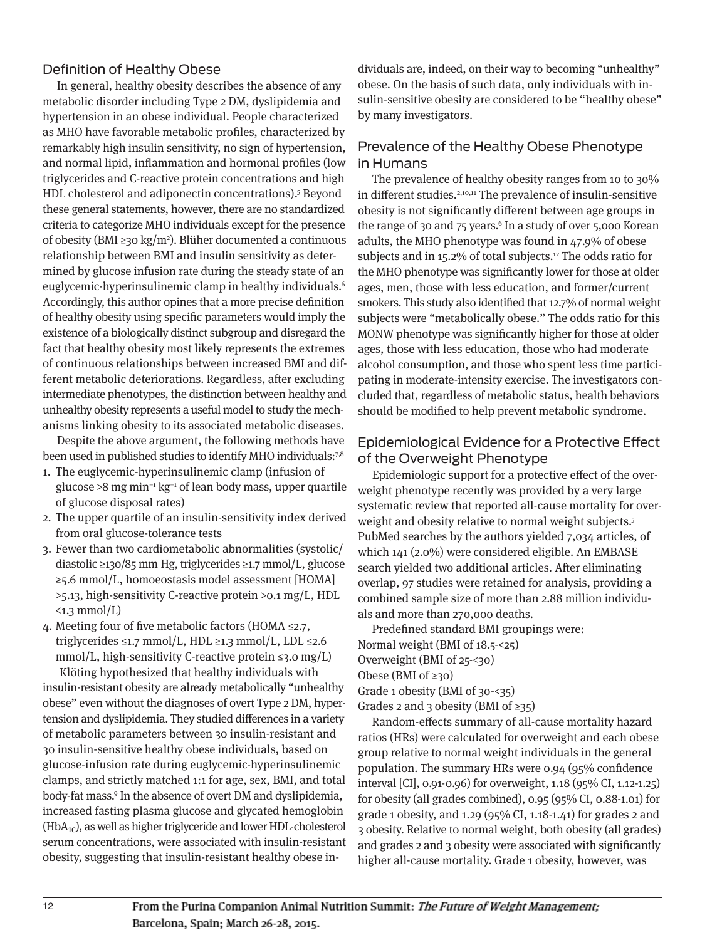#### Definition of Healthy Obese

In general, healthy obesity describes the absence of any metabolic disorder including Type 2 DM, dyslipidemia and hypertension in an obese individual. People characterized as MHO have favorable metabolic profiles, characterized by remarkably high insulin sensitivity, no sign of hypertension, and normal lipid, inflammation and hormonal profiles (low triglycerides and C-reactive protein concentrations and high HDL cholesterol and adiponectin concentrations).5 Beyond these general statements, however, there are no standardized criteria to categorize MHO individuals except for the presence of obesity (BMI ≥30 kg/m2 ). Blüher documented a continuous relationship between BMI and insulin sensitivity as determined by glucose infusion rate during the steady state of an euglycemic-hyperinsulinemic clamp in healthy individuals.<sup>6</sup> Accordingly, this author opines that a more precise definition of healthy obesity using specific parameters would imply the existence of a biologically distinct subgroup and disregard the fact that healthy obesity most likely represents the extremes of continuous relationships between increased BMI and different metabolic deteriorations. Regardless, after excluding intermediate phenotypes, the distinction between healthy and unhealthy obesity represents a useful model to study the mechanisms linking obesity to its associated metabolic diseases.

Despite the above argument, the following methods have been used in published studies to identify MHO individuals:7,8

- 1. The euglycemic-hyperinsulinemic clamp (infusion of glucose >8 mg min−1 kg−1 of lean body mass, upper quartile of glucose disposal rates)
- 2. The upper quartile of an insulin-sensitivity index derived from oral glucose-tolerance tests
- 3. Fewer than two cardiometabolic abnormalities (systolic/ diastolic ≥130/85 mm Hg, triglycerides ≥1.7 mmol/L, glucose ≥5.6 mmol/L, homoeostasis model assessment [HOMA] >5.13, high-sensitivity C-reactive protein >0.1 mg/L, HDL  $\langle 1.3 \text{ mmol/L} \rangle$
- 4. Meeting four of five metabolic factors (HOMA ≤2.7, triglycerides ≤1.7 mmol/L, HDL ≥1.3 mmol/L, LDL ≤2.6 mmol/L, high-sensitivity C-reactive protein  $\leq$ 3.0 mg/L)

Klöting hypothesized that healthy individuals with insulin-resistant obesity are already metabolically "unhealthy obese" even without the diagnoses of overt Type 2 DM, hypertension and dyslipidemia. They studied differences in a variety of metabolic parameters between 30 insulin-resistant and 30 insulin-sensitive healthy obese individuals, based on glucose-infusion rate during euglycemic-hyperinsulinemic clamps, and strictly matched 1:1 for age, sex, BMI, and total body-fat mass.9 In the absence of overt DM and dyslipidemia, increased fasting plasma glucose and glycated hemoglobin  $(HbA<sub>1c</sub>)$ , as well as higher triglyceride and lower HDL-cholesterol serum concentrations, were associated with insulin-resistant obesity, suggesting that insulin-resistant healthy obese in-

dividuals are, indeed, on their way to becoming "unhealthy" obese. On the basis of such data, only individuals with insulin-sensitive obesity are considered to be "healthy obese" by many investigators.

#### Prevalence of the Healthy Obese Phenotype in Humans

The prevalence of healthy obesity ranges from 10 to 30% in different studies.<sup>2,10,11</sup> The prevalence of insulin-sensitive obesity is not significantly different between age groups in the range of 30 and  $75$  years.<sup>6</sup> In a study of over  $5,000$  Korean adults, the MHO phenotype was found in 47.9% of obese subjects and in 15.2% of total subjects.<sup>12</sup> The odds ratio for the MHO phenotype was significantly lower for those at older ages, men, those with less education, and former/current smokers. This study also identified that 12.7% of normal weight subjects were "metabolically obese." The odds ratio for this MONW phenotype was significantly higher for those at older ages, those with less education, those who had moderate alcohol consumption, and those who spent less time participating in moderate-intensity exercise. The investigators concluded that, regardless of metabolic status, health behaviors should be modified to help prevent metabolic syndrome.

## Epidemiological Evidence for a Protective Effect of the Overweight Phenotype

Epidemiologic support for a protective effect of the overweight phenotype recently was provided by a very large systematic review that reported all-cause mortality for overweight and obesity relative to normal weight subjects.<sup>5</sup> PubMed searches by the authors yielded 7,034 articles, of which 141 (2.0%) were considered eligible. An EMBASE search yielded two additional articles. After eliminating overlap, 97 studies were retained for analysis, providing a combined sample size of more than 2.88 million individuals and more than 270,000 deaths.

Predefined standard BMI groupings were: Normal weight (BMI of 18.5-<25) Overweight (BMI of 25-<30) Obese (BMI of  $\geq 30$ ) Grade 1 obesity (BMI of 30-<35) Grades 2 and 3 obesity (BMI of  $\geq 35$ )

Random-effects summary of all-cause mortality hazard ratios (HRs) were calculated for overweight and each obese group relative to normal weight individuals in the general population. The summary HRs were 0.94 (95% confidence interval [CI], 0.91-0.96) for overweight, 1.18 (95% CI, 1.12-1.25) for obesity (all grades combined), 0.95 (95% CI, 0.88-1.01) for grade 1 obesity, and 1.29 (95% CI, 1.18-1.41) for grades 2 and 3 obesity. Relative to normal weight, both obesity (all grades) and grades 2 and 3 obesity were associated with significantly higher all-cause mortality. Grade 1 obesity, however, was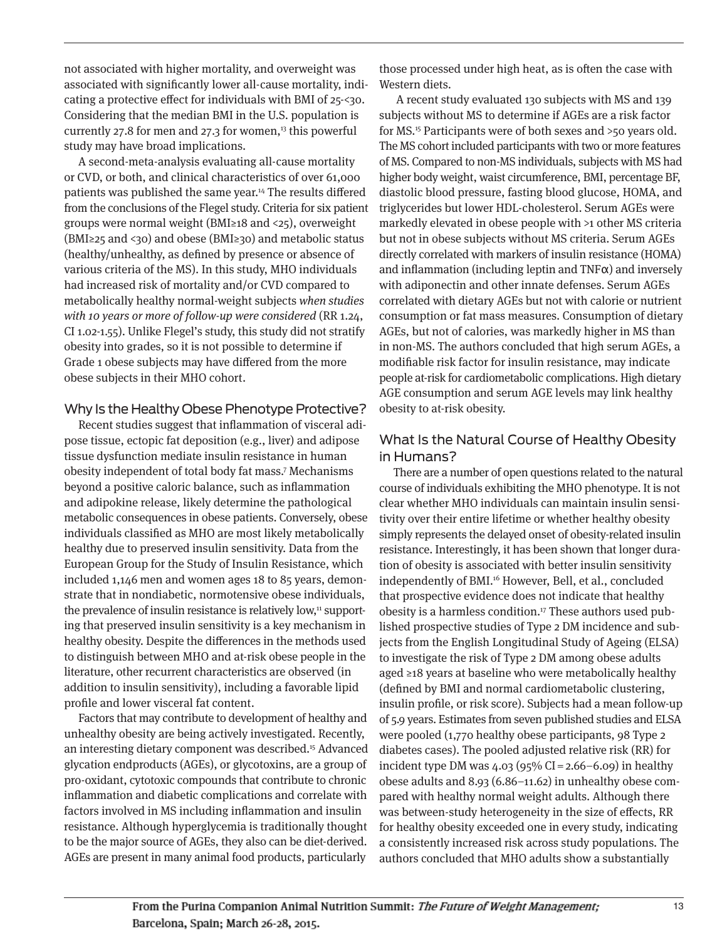not associated with higher mortality, and overweight was associated with significantly lower all-cause mortality, indicating a protective effect for individuals with BMI of 25-<30. Considering that the median BMI in the U.S. population is currently 27.8 for men and 27.3 for women, $13$  this powerful study may have broad implications.

A second-meta-analysis evaluating all-cause mortality or CVD, or both, and clinical characteristics of over 61,000 patients was published the same year.14 The results differed from the conclusions of the Flegel study. Criteria for six patient groups were normal weight (BMI≥18 and <25), overweight (BMI≥25 and <30) and obese (BMI≥30) and metabolic status (healthy/unhealthy, as defined by presence or absence of various criteria of the MS). In this study, MHO individuals had increased risk of mortality and/or CVD compared to metabolically healthy normal-weight subjects when studies with 10 years or more of follow-up were considered (RR 1.24, CI 1.02-1.55). Unlike Flegel's study, this study did not stratify obesity into grades, so it is not possible to determine if Grade 1 obese subjects may have differed from the more obese subjects in their MHO cohort.

#### Why Is the Healthy Obese Phenotype Protective?

Recent studies suggest that inflammation of visceral adipose tissue, ectopic fat deposition (e.g., liver) and adipose tissue dysfunction mediate insulin resistance in human obesity independent of total body fat mass.7 Mechanisms beyond a positive caloric balance, such as inflammation and adipokine release, likely determine the pathological metabolic consequences in obese patients. Conversely, obese individuals classified as MHO are most likely metabolically healthy due to preserved insulin sensitivity. Data from the European Group for the Study of Insulin Resistance, which included 1,146 men and women ages 18 to 85 years, demonstrate that in nondiabetic, normotensive obese individuals, the prevalence of insulin resistance is relatively low,<sup>11</sup> supporting that preserved insulin sensitivity is a key mechanism in healthy obesity. Despite the differences in the methods used to distinguish between MHO and at-risk obese people in the literature, other recurrent characteristics are observed (in addition to insulin sensitivity), including a favorable lipid profile and lower visceral fat content.

Factors that may contribute to development of healthy and unhealthy obesity are being actively investigated. Recently, an interesting dietary component was described.15 Advanced glycation endproducts (AGEs), or glycotoxins, are a group of pro-oxidant, cytotoxic compounds that contribute to chronic inflammation and diabetic complications and correlate with factors involved in MS including inflammation and insulin resistance. Although hyperglycemia is traditionally thought to be the major source of AGEs, they also can be diet-derived. AGEs are present in many animal food products, particularly

those processed under high heat, as is often the case with Western diets.

A recent study evaluated 130 subjects with MS and 139 subjects without MS to determine if AGEs are a risk factor for MS.15 Participants were of both sexes and >50 years old. The MS cohort included participants with two or more features of MS. Compared to non-MS individuals, subjects with MS had higher body weight, waist circumference, BMI, percentage BF, diastolic blood pressure, fasting blood glucose, HOMA, and triglycerides but lower HDL-cholesterol. Serum AGEs were markedly elevated in obese people with >1 other MS criteria but not in obese subjects without MS criteria. Serum AGEs directly correlated with markers of insulin resistance (HOMA) and inflammation (including leptin and  $TNF\alpha$ ) and inversely with adiponectin and other innate defenses. Serum AGEs correlated with dietary AGEs but not with calorie or nutrient consumption or fat mass measures. Consumption of dietary AGEs, but not of calories, was markedly higher in MS than in non-MS. The authors concluded that high serum AGEs, a modifiable risk factor for insulin resistance, may indicate people at-risk for cardiometabolic complications. High dietary AGE consumption and serum AGE levels may link healthy obesity to at-risk obesity.

## What Is the Natural Course of Healthy Obesity in Humans?

There are a number of open questions related to the natural course of individuals exhibiting the MHO phenotype. It is not clear whether MHO individuals can maintain insulin sensitivity over their entire lifetime or whether healthy obesity simply represents the delayed onset of obesity-related insulin resistance. Interestingly, it has been shown that longer duration of obesity is associated with better insulin sensitivity independently of BMI.<sup>16</sup> However, Bell, et al., concluded that prospective evidence does not indicate that healthy obesity is a harmless condition.17 These authors used published prospective studies of Type 2 DM incidence and subjects from the English Longitudinal Study of Ageing (ELSA) to investigate the risk of Type 2 DM among obese adults aged ≥18 years at baseline who were metabolically healthy (defined by BMI and normal cardiometabolic clustering, insulin profile, or risk score). Subjects had a mean follow-up of 5.9 years. Estimates from seven published studies and ELSA were pooled (1,770 healthy obese participants, 98 Type 2 diabetes cases). The pooled adjusted relative risk (RR) for incident type DM was  $4.03$  (95% CI = 2.66–6.09) in healthy obese adults and 8.93 (6.86–11.62) in unhealthy obese compared with healthy normal weight adults. Although there was between-study heterogeneity in the size of effects, RR for healthy obesity exceeded one in every study, indicating a consistently increased risk across study populations. The authors concluded that MHO adults show a substantially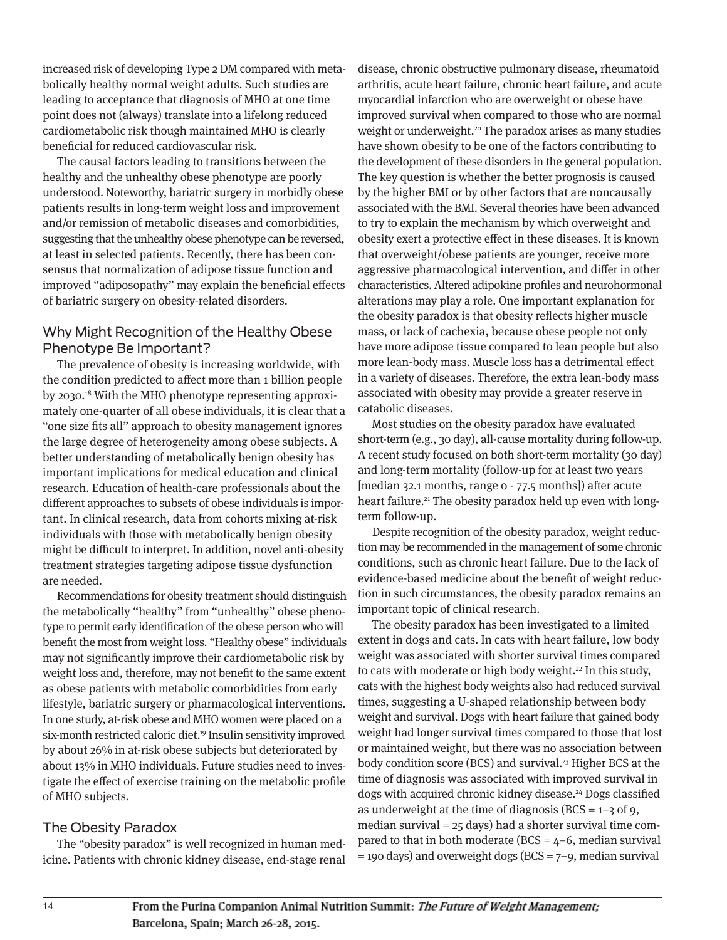increased risk of developing Type 2 DM compared with metabolically healthy normal weight adults. Such studies are leading to acceptance that diagnosis of MHO at one time point does not (always) translate into a lifelong reduced cardiometabolic risk though maintained MHO is clearly beneficial for reduced cardiovascular risk.

The causal factors leading to transitions between the healthy and the unhealthy obese phenotype are poorly understood. Noteworthy, bariatric surgery in morbidly obese patients results in long-term weight loss and improvement and/or remission of metabolic diseases and comorbidities, suggesting that the unhealthy obese phenotype can be reversed, at least in selected patients. Recently, there has been consensus that normalization of adipose tissue function and improved "adiposopathy" may explain the beneficial effects of bariatric surgery on obesity-related disorders.

#### Why Might Recognition of the Healthy Obese Phenotype Be Important?

The prevalence of obesity is increasing worldwide, with the condition predicted to affect more than 1 billion people by 2030.18 With the MHO phenotype representing approximately one-quarter of all obese individuals, it is clear that a "one size fits all" approach to obesity management ignores the large degree of heterogeneity among obese subjects. A better understanding of metabolically benign obesity has important implications for medical education and clinical research. Education of health-care professionals about the different approaches to subsets of obese individuals is important. In clinical research, data from cohorts mixing at-risk individuals with those with metabolically benign obesity might be difficult to interpret. In addition, novel anti-obesity treatment strategies targeting adipose tissue dysfunction are needed.

Recommendations for obesity treatment should distinguish the metabolically "healthy" from "unhealthy" obese phenotype to permit early identification of the obese person who will benefit the most from weight loss. "Healthy obese" individuals may not significantly improve their cardiometabolic risk by weight loss and, therefore, may not benefit to the same extent as obese patients with metabolic comorbidities from early lifestyle, bariatric surgery or pharmacological interventions. In one study, at-risk obese and MHO women were placed on a six-month restricted caloric diet.<sup>19</sup> Insulin sensitivity improved by about 26% in at-risk obese subjects but deteriorated by about 13% in MHO individuals. Future studies need to investigate the effect of exercise training on the metabolic profile of MHO subjects.

#### The Obesity Paradox

The "obesity paradox" is well recognized in human medicine. Patients with chronic kidney disease, end-stage renal disease, chronic obstructive pulmonary disease, rheumatoid arthritis, acute heart failure, chronic heart failure, and acute myocardial infarction who are overweight or obese have improved survival when compared to those who are normal weight or underweight.<sup>20</sup> The paradox arises as many studies have shown obesity to be one of the factors contributing to the development of these disorders in the general population. The key question is whether the better prognosis is caused by the higher BMI or by other factors that are noncausally associated with the BMI. Several theories have been advanced to try to explain the mechanism by which overweight and obesity exert a protective effect in these diseases. It is known that overweight/obese patients are younger, receive more aggressive pharmacological intervention, and differ in other characteristics. Altered adipokine profiles and neurohormonal alterations may play a role. One important explanation for the obesity paradox is that obesity reflects higher muscle mass, or lack of cachexia, because obese people not only have more adipose tissue compared to lean people but also more lean-body mass. Muscle loss has a detrimental effect in a variety of diseases. Therefore, the extra lean-body mass associated with obesity may provide a greater reserve in catabolic diseases.

Most studies on the obesity paradox have evaluated short-term (e.g., 30 day), all-cause mortality during follow-up. A recent study focused on both short-term mortality (30 day) and long-term mortality (follow-up for at least two years [median 32.1 months, range 0 - 77.5 months]) after acute heart failure.<sup>21</sup> The obesity paradox held up even with longterm follow-up.

Despite recognition of the obesity paradox, weight reduction may be recommended in the management of some chronic conditions, such as chronic heart failure. Due to the lack of evidence-based medicine about the benefit of weight reduction in such circumstances, the obesity paradox remains an important topic of clinical research.

The obesity paradox has been investigated to a limited extent in dogs and cats. In cats with heart failure, low body weight was associated with shorter survival times compared to cats with moderate or high body weight.<sup>22</sup> In this study, cats with the highest body weights also had reduced survival times, suggesting a U-shaped relationship between body weight and survival. Dogs with heart failure that gained body weight had longer survival times compared to those that lost or maintained weight, but there was no association between body condition score (BCS) and survival.<sup>23</sup> Higher BCS at the time of diagnosis was associated with improved survival in dogs with acquired chronic kidney disease.<sup>24</sup> Dogs classified as underweight at the time of diagnosis ( $BCS = 1-3$  of 9, median survival = 25 days) had a shorter survival time compared to that in both moderate (BCS =  $4-6$ , median survival  $=$  190 days) and overweight dogs (BCS  $=$  7–9, median survival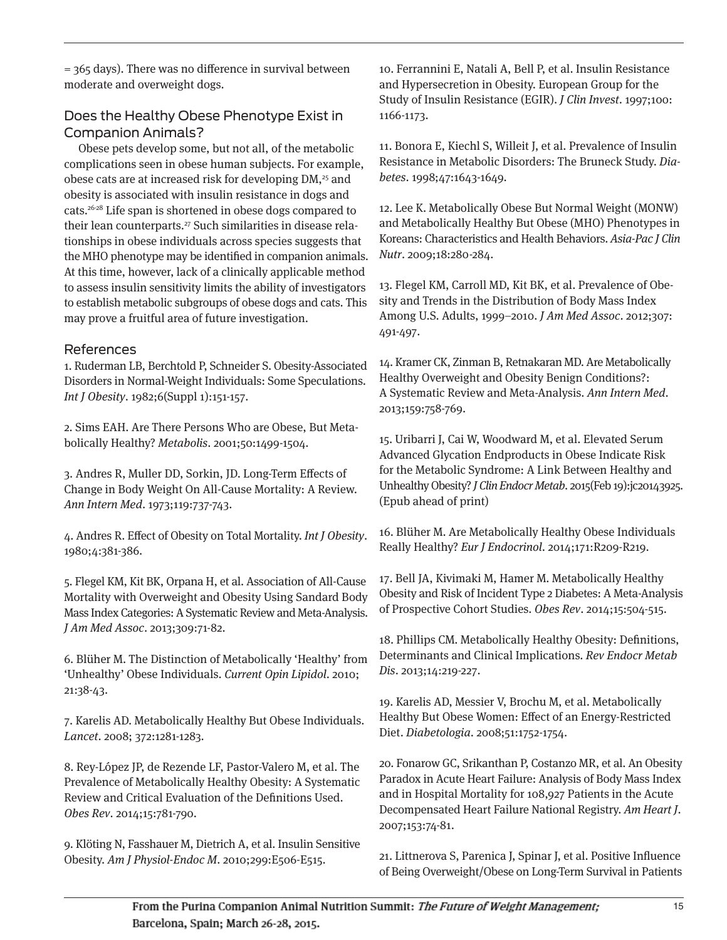$=$  365 days). There was no difference in survival between moderate and overweight dogs.

# Does the Healthy Obese Phenotype Exist in Companion Animals?

Obese pets develop some, but not all, of the metabolic complications seen in obese human subjects. For example, obese cats are at increased risk for developing DM,<sup>25</sup> and obesity is associated with insulin resistance in dogs and cats.26-28 Life span is shortened in obese dogs compared to their lean counterparts.<sup>27</sup> Such similarities in disease relationships in obese individuals across species suggests that the MHO phenotype may be identified in companion animals. At this time, however, lack of a clinically applicable method to assess insulin sensitivity limits the ability of investigators to establish metabolic subgroups of obese dogs and cats. This may prove a fruitful area of future investigation.

#### References

1. Ruderman LB, Berchtold P, Schneider S. Obesity-Associated Disorders in Normal-Weight Individuals: Some Speculations. Int J Obesity. 1982;6(Suppl 1):151-157.

2. Sims EAH. Are There Persons Who are Obese, But Metabolically Healthy? Metabolis. 2001;50:1499-1504.

3. Andres R, Muller DD, Sorkin, JD. Long-Term Effects of Change in Body Weight On All-Cause Mortality: A Review. Ann Intern Med. 1973;119:737-743.

4. Andres R. Effect of Obesity on Total Mortality. Int J Obesity. 1980;4:381-386.

5. Flegel KM, Kit BK, Orpana H, et al. Association of All-Cause Mortality with Overweight and Obesity Using Sandard Body Mass Index Categories: A Systematic Review and Meta-Analysis. J Am Med Assoc. 2013;309:71-82.

6. Blüher M. The Distinction of Metabolically 'Healthy' from 'Unhealthy' Obese Individuals. Current Opin Lipidol. 2010; 21:38-43.

7. Karelis AD. Metabolically Healthy But Obese Individuals. Lancet. 2008; 372:1281-1283.

8. Rey-López JP, de Rezende LF, Pastor-Valero M, et al. The Prevalence of Metabolically Healthy Obesity: A Systematic Review and Critical Evaluation of the Definitions Used. Obes Rev. 2014;15:781-790.

9. Klöting N, Fasshauer M, Dietrich A, et al. Insulin Sensitive Obesity. Am J Physiol-Endoc M. 2010;299:E506-E515.

10. Ferrannini E, Natali A, Bell P, et al. Insulin Resistance and Hypersecretion in Obesity. European Group for the Study of Insulin Resistance (EGIR). J Clin Invest. 1997;100: 1166-1173.

11. Bonora E, Kiechl S, Willeit J, et al. Prevalence of Insulin Resistance in Metabolic Disorders: The Bruneck Study. Diabetes. 1998;47:1643-1649.

12. Lee K. Metabolically Obese But Normal Weight (MONW) and Metabolically Healthy But Obese (MHO) Phenotypes in Koreans: Characteristics and Health Behaviors. Asia-Pac J Clin Nutr. 2009;18:280-284.

13. Flegel KM, Carroll MD, Kit BK, et al. Prevalence of Obesity and Trends in the Distribution of Body Mass Index Among U.S. Adults, 1999–2010. J Am Med Assoc. 2012;307: 491-497.

14. Kramer CK, Zinman B, Retnakaran MD. Are Metabolically Healthy Overweight and Obesity Benign Conditions?: A Systematic Review and Meta-Analysis. Ann Intern Med. 2013;159:758-769.

15. Uribarri J, Cai W, Woodward M, et al. Elevated Serum Advanced Glycation Endproducts in Obese Indicate Risk for the Metabolic Syndrome: A Link Between Healthy and Unhealthy Obesity? J Clin Endocr Metab. 2015(Feb 19):jc20143925. (Epub ahead of print)

16. Blüher M. Are Metabolically Healthy Obese Individuals Really Healthy? Eur J Endocrinol. 2014;171:R209-R219.

17. Bell JA, Kivimaki M, Hamer M. Metabolically Healthy Obesity and Risk of Incident Type 2 Diabetes: A Meta-Analysis of Prospective Cohort Studies. Obes Rev. 2014;15:504-515.

18. Phillips CM. Metabolically Healthy Obesity: Definitions, Determinants and Clinical Implications. Rev Endocr Metab Dis. 2013;14:219-227.

19. Karelis AD, Messier V, Brochu M, et al. Metabolically Healthy But Obese Women: Effect of an Energy-Restricted Diet. Diabetologia. 2008;51:1752-1754.

20. Fonarow GC, Srikanthan P, Costanzo MR, et al. An Obesity Paradox in Acute Heart Failure: Analysis of Body Mass Index and in Hospital Mortality for 108,927 Patients in the Acute Decompensated Heart Failure National Registry. Am Heart J. 2007;153:74-81.

21. Littnerova S, Parenica J, Spinar J, et al. Positive Influence of Being Overweight/Obese on Long-Term Survival in Patients